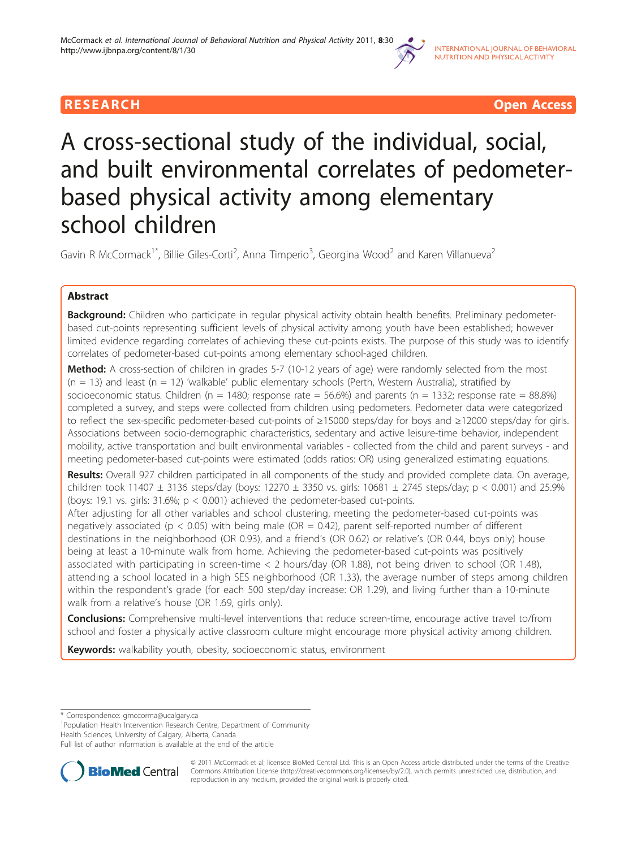

**RESEARCH Open Access** 

# A cross-sectional study of the individual, social, and built environmental correlates of pedometerbased physical activity among elementary school children

Gavin R McCormack<sup>1\*</sup>, Billie Giles-Corti<sup>2</sup>, Anna Timperio<sup>3</sup>, Georgina Wood<sup>2</sup> and Karen Villanueva<sup>2</sup>

# Abstract

**Background:** Children who participate in regular physical activity obtain health benefits. Preliminary pedometerbased cut-points representing sufficient levels of physical activity among youth have been established; however limited evidence regarding correlates of achieving these cut-points exists. The purpose of this study was to identify correlates of pedometer-based cut-points among elementary school-aged children.

**Method:** A cross-section of children in grades 5-7 (10-12 years of age) were randomly selected from the most  $(n = 13)$  and least  $(n = 12)$  'walkable' public elementary schools (Perth, Western Australia), stratified by socioeconomic status. Children ( $n = 1480$ ; response rate = 56.6%) and parents ( $n = 1332$ ; response rate = 88.8%) completed a survey, and steps were collected from children using pedometers. Pedometer data were categorized to reflect the sex-specific pedometer-based cut-points of ≥15000 steps/day for boys and ≥12000 steps/day for girls. Associations between socio-demographic characteristics, sedentary and active leisure-time behavior, independent mobility, active transportation and built environmental variables - collected from the child and parent surveys - and meeting pedometer-based cut-points were estimated (odds ratios: OR) using generalized estimating equations.

Results: Overall 927 children participated in all components of the study and provided complete data. On average, children took 11407  $\pm$  3136 steps/day (boys: 12270  $\pm$  3350 vs. girls: 10681  $\pm$  2745 steps/day; p < 0.001) and 25.9% (boys: 19.1 vs. girls:  $31.6\%$ ;  $p < 0.001$ ) achieved the pedometer-based cut-points.

After adjusting for all other variables and school clustering, meeting the pedometer-based cut-points was negatively associated ( $p < 0.05$ ) with being male ( $OR = 0.42$ ), parent self-reported number of different destinations in the neighborhood (OR 0.93), and a friend's (OR 0.62) or relative's (OR 0.44, boys only) house being at least a 10-minute walk from home. Achieving the pedometer-based cut-points was positively associated with participating in screen-time < 2 hours/day (OR 1.88), not being driven to school (OR 1.48), attending a school located in a high SES neighborhood (OR 1.33), the average number of steps among children within the respondent's grade (for each 500 step/day increase: OR 1.29), and living further than a 10-minute walk from a relative's house (OR 1.69, girls only).

**Conclusions:** Comprehensive multi-level interventions that reduce screen-time, encourage active travel to/from school and foster a physically active classroom culture might encourage more physical activity among children.

Keywords: walkability youth, obesity, socioeconomic status, environment

\* Correspondence: [gmccorma@ucalgary.ca](mailto:gmccorma@ucalgary.ca)

<sup>1</sup> Population Health Intervention Research Centre, Department of Community Health Sciences, University of Calgary, Alberta, Canada

Full list of author information is available at the end of the article



© 2011 McCormack et al; licensee BioMed Central Ltd. This is an Open Access article distributed under the terms of the Creative Commons Attribution License [\(http://creativecommons.org/licenses/by/2.0](http://creativecommons.org/licenses/by/2.0)), which permits unrestricted use, distribution, and reproduction in any medium, provided the original work is properly cited.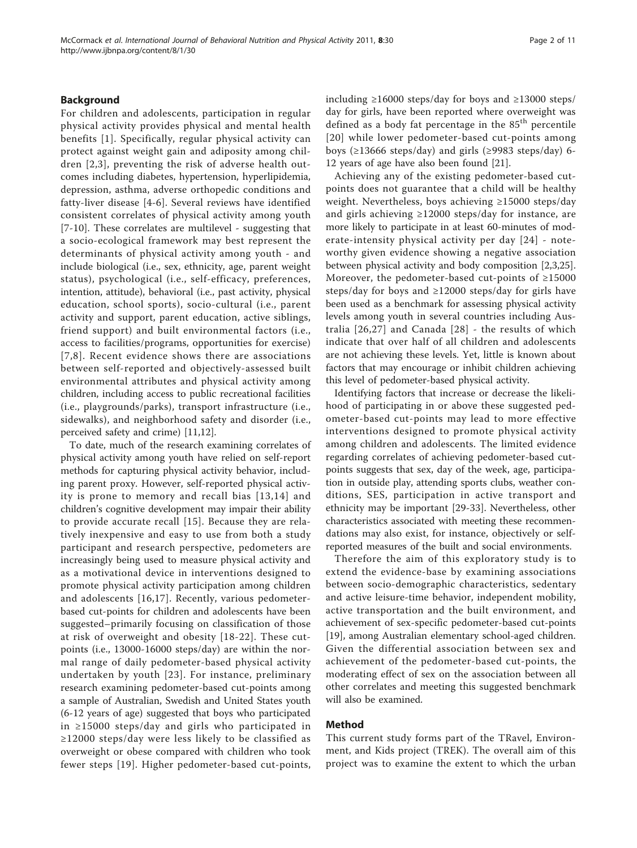## Background

For children and adolescents, participation in regular physical activity provides physical and mental health benefits [[1](#page-9-0)]. Specifically, regular physical activity can protect against weight gain and adiposity among children [[2,3\]](#page-9-0), preventing the risk of adverse health outcomes including diabetes, hypertension, hyperlipidemia, depression, asthma, adverse orthopedic conditions and fatty-liver disease [\[4](#page-9-0)-[6](#page-9-0)]. Several reviews have identified consistent correlates of physical activity among youth [[7-10\]](#page-9-0). These correlates are multilevel - suggesting that a socio-ecological framework may best represent the determinants of physical activity among youth - and include biological (i.e., sex, ethnicity, age, parent weight status), psychological (i.e., self-efficacy, preferences, intention, attitude), behavioral (i.e., past activity, physical education, school sports), socio-cultural (i.e., parent activity and support, parent education, active siblings, friend support) and built environmental factors (i.e., access to facilities/programs, opportunities for exercise) [[7,8\]](#page-9-0). Recent evidence shows there are associations between self-reported and objectively-assessed built environmental attributes and physical activity among children, including access to public recreational facilities (i.e., playgrounds/parks), transport infrastructure (i.e., sidewalks), and neighborhood safety and disorder (i.e., perceived safety and crime) [\[11,12](#page-9-0)].

To date, much of the research examining correlates of physical activity among youth have relied on self-report methods for capturing physical activity behavior, including parent proxy. However, self-reported physical activity is prone to memory and recall bias [[13,14\]](#page-9-0) and children's cognitive development may impair their ability to provide accurate recall [[15](#page-9-0)]. Because they are relatively inexpensive and easy to use from both a study participant and research perspective, pedometers are increasingly being used to measure physical activity and as a motivational device in interventions designed to promote physical activity participation among children and adolescents [[16](#page-9-0),[17\]](#page-9-0). Recently, various pedometerbased cut-points for children and adolescents have been suggested–primarily focusing on classification of those at risk of overweight and obesity [[18-22](#page-9-0)]. These cutpoints (i.e., 13000-16000 steps/day) are within the normal range of daily pedometer-based physical activity undertaken by youth [[23\]](#page-9-0). For instance, preliminary research examining pedometer-based cut-points among a sample of Australian, Swedish and United States youth (6-12 years of age) suggested that boys who participated in ≥15000 steps/day and girls who participated in ≥12000 steps/day were less likely to be classified as overweight or obese compared with children who took fewer steps [[19](#page-9-0)]. Higher pedometer-based cut-points, including ≥16000 steps/day for boys and ≥13000 steps/ day for girls, have been reported where overweight was defined as a body fat percentage in the  $85<sup>th</sup>$  percentile [[20\]](#page-9-0) while lower pedometer-based cut-points among boys (≥13666 steps/day) and girls (≥9983 steps/day) 6- 12 years of age have also been found [[21\]](#page-9-0).

Achieving any of the existing pedometer-based cutpoints does not guarantee that a child will be healthy weight. Nevertheless, boys achieving ≥15000 steps/day and girls achieving ≥12000 steps/day for instance, are more likely to participate in at least 60-minutes of moderate-intensity physical activity per day [[24](#page-9-0)] - noteworthy given evidence showing a negative association between physical activity and body composition [\[2,3,25](#page-9-0)]. Moreover, the pedometer-based cut-points of  $\geq 15000$ steps/day for boys and ≥12000 steps/day for girls have been used as a benchmark for assessing physical activity levels among youth in several countries including Australia [[26](#page-9-0),[27](#page-9-0)] and Canada [[28](#page-9-0)] - the results of which indicate that over half of all children and adolescents are not achieving these levels. Yet, little is known about factors that may encourage or inhibit children achieving this level of pedometer-based physical activity.

Identifying factors that increase or decrease the likelihood of participating in or above these suggested pedometer-based cut-points may lead to more effective interventions designed to promote physical activity among children and adolescents. The limited evidence regarding correlates of achieving pedometer-based cutpoints suggests that sex, day of the week, age, participation in outside play, attending sports clubs, weather conditions, SES, participation in active transport and ethnicity may be important [[29](#page-9-0)[-33](#page-10-0)]. Nevertheless, other characteristics associated with meeting these recommendations may also exist, for instance, objectively or selfreported measures of the built and social environments.

Therefore the aim of this exploratory study is to extend the evidence-base by examining associations between socio-demographic characteristics, sedentary and active leisure-time behavior, independent mobility, active transportation and the built environment, and achievement of sex-specific pedometer-based cut-points [[19\]](#page-9-0), among Australian elementary school-aged children. Given the differential association between sex and achievement of the pedometer-based cut-points, the moderating effect of sex on the association between all other correlates and meeting this suggested benchmark will also be examined.

#### Method

This current study forms part of the TRavel, Environment, and Kids project (TREK). The overall aim of this project was to examine the extent to which the urban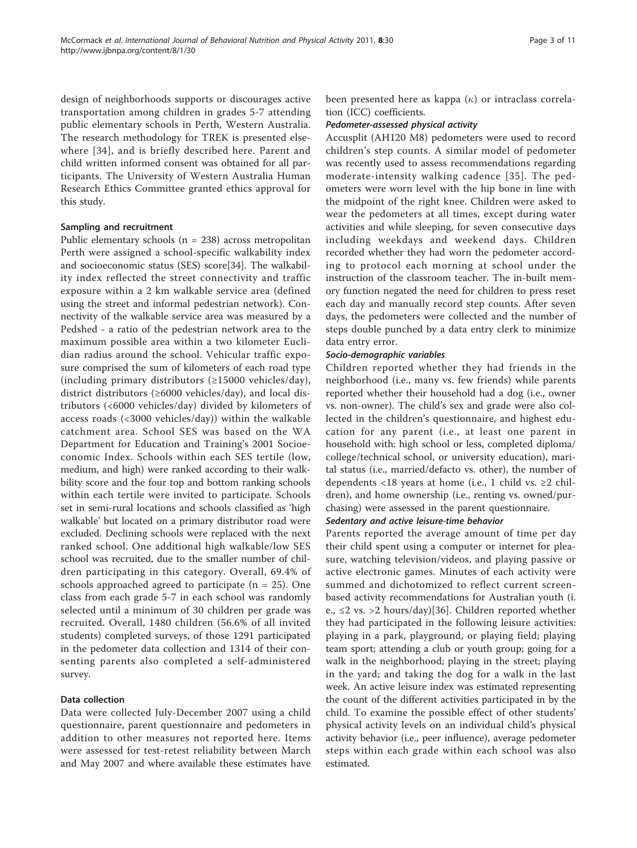design of neighborhoods supports or discourages active transportation among children in grades 5-7 attending public elementary schools in Perth, Western Australia. The research methodology for TREK is presented elsewhere [[34\]](#page-10-0), and is briefly described here. Parent and child written informed consent was obtained for all participants. The University of Western Australia Human Research Ethics Committee granted ethics approval for this study.

#### Sampling and recruitment

Public elementary schools (n = 238) across metropolitan Perth were assigned a school-specific walkability index and socioeconomic status (SES) score[[34](#page-10-0)]. The walkability index reflected the street connectivity and traffic exposure within a 2 km walkable service area (defined using the street and informal pedestrian network). Connectivity of the walkable service area was measured by a Pedshed - a ratio of the pedestrian network area to the maximum possible area within a two kilometer Euclidian radius around the school. Vehicular traffic exposure comprised the sum of kilometers of each road type (including primary distributors (≥15000 vehicles/day), district distributors (≥6000 vehicles/day), and local distributors (<6000 vehicles/day) divided by kilometers of access roads (<3000 vehicles/day)) within the walkable catchment area. School SES was based on the WA Department for Education and Training's 2001 Socioeconomic Index. Schools within each SES tertile (low, medium, and high) were ranked according to their walkbility score and the four top and bottom ranking schools within each tertile were invited to participate. Schools set in semi-rural locations and schools classified as 'high walkable' but located on a primary distributor road were excluded. Declining schools were replaced with the next ranked school. One additional high walkable/low SES school was recruited, due to the smaller number of children participating in this category. Overall, 69.4% of schools approached agreed to participate  $(n = 25)$ . One class from each grade 5-7 in each school was randomly selected until a minimum of 30 children per grade was recruited. Overall, 1480 children (56.6% of all invited students) completed surveys, of those 1291 participated in the pedometer data collection and 1314 of their consenting parents also completed a self-administered survey.

#### Data collection

Data were collected July-December 2007 using a child questionnaire, parent questionnaire and pedometers in addition to other measures not reported here. Items were assessed for test-retest reliability between March and May 2007 and where available these estimates have been presented here as kappa  $(\kappa)$  or intraclass correlation (ICC) coefficients.

## Pedometer-assessed physical activity

Accusplit (AH120 M8) pedometers were used to record children's step counts. A similar model of pedometer was recently used to assess recommendations regarding moderate-intensity walking cadence [[35\]](#page-10-0). The pedometers were worn level with the hip bone in line with the midpoint of the right knee. Children were asked to wear the pedometers at all times, except during water activities and while sleeping, for seven consecutive days including weekdays and weekend days. Children recorded whether they had worn the pedometer according to protocol each morning at school under the instruction of the classroom teacher. The in-built memory function negated the need for children to press reset each day and manually record step counts. After seven days, the pedometers were collected and the number of steps double punched by a data entry clerk to minimize data entry error.

#### Socio-demographic variables

Children reported whether they had friends in the neighborhood (i.e., many vs. few friends) while parents reported whether their household had a dog (i.e., owner vs. non-owner). The child's sex and grade were also collected in the children's questionnaire, and highest education for any parent (i.e., at least one parent in household with: high school or less, completed diploma/ college/technical school, or university education), marital status (i.e., married/defacto vs. other), the number of dependents <18 years at home (i.e., 1 child vs.  $\geq 2$  children), and home ownership (i.e., renting vs. owned/purchasing) were assessed in the parent questionnaire.

# Sedentary and active leisure-time behavior

Parents reported the average amount of time per day their child spent using a computer or internet for pleasure, watching television/videos, and playing passive or active electronic games. Minutes of each activity were summed and dichotomized to reflect current screenbased activity recommendations for Australian youth (i. e.,  $\leq$  2 vs. > 2 hours/day)[[36](#page-10-0)]. Children reported whether they had participated in the following leisure activities: playing in a park, playground, or playing field; playing team sport; attending a club or youth group; going for a walk in the neighborhood; playing in the street; playing in the yard; and taking the dog for a walk in the last week. An active leisure index was estimated representing the count of the different activities participated in by the child. To examine the possible effect of other students' physical activity levels on an individual child's physical activity behavior (i.e., peer influence), average pedometer steps within each grade within each school was also estimated.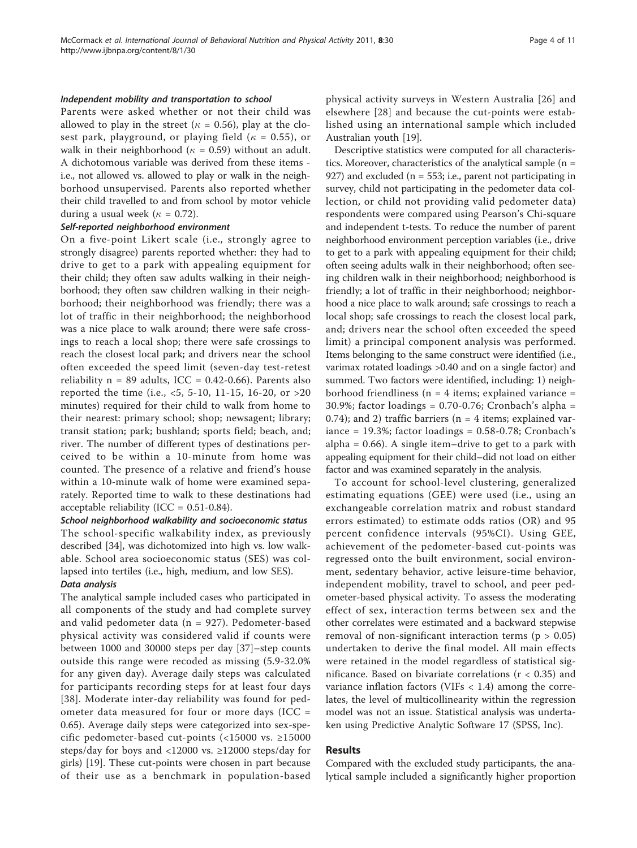#### Independent mobility and transportation to school

Parents were asked whether or not their child was allowed to play in the street ( $\kappa = 0.56$ ), play at the closest park, playground, or playing field ( $\kappa = 0.55$ ), or walk in their neighborhood ( $\kappa = 0.59$ ) without an adult. A dichotomous variable was derived from these items i.e., not allowed vs. allowed to play or walk in the neighborhood unsupervised. Parents also reported whether their child travelled to and from school by motor vehicle during a usual week ( $\kappa = 0.72$ ).

# Self-reported neighborhood environment

On a five-point Likert scale (i.e., strongly agree to strongly disagree) parents reported whether: they had to drive to get to a park with appealing equipment for their child; they often saw adults walking in their neighborhood; they often saw children walking in their neighborhood; their neighborhood was friendly; there was a lot of traffic in their neighborhood; the neighborhood was a nice place to walk around; there were safe crossings to reach a local shop; there were safe crossings to reach the closest local park; and drivers near the school often exceeded the speed limit (seven-day test-retest reliability  $n = 89$  adults, ICC = 0.42-0.66). Parents also reported the time (i.e., <5, 5-10, 11-15, 16-20, or >20 minutes) required for their child to walk from home to their nearest: primary school; shop; newsagent; library; transit station; park; bushland; sports field; beach, and; river. The number of different types of destinations perceived to be within a 10-minute from home was counted. The presence of a relative and friend's house within a 10-minute walk of home were examined separately. Reported time to walk to these destinations had acceptable reliability (ICC =  $0.51-0.84$ ).

School neighborhood walkability and socioeconomic status The school-specific walkability index, as previously described [[34](#page-10-0)], was dichotomized into high vs. low walkable. School area socioeconomic status (SES) was collapsed into tertiles (i.e., high, medium, and low SES). Data analysis

The analytical sample included cases who participated in all components of the study and had complete survey and valid pedometer data ( $n = 927$ ). Pedometer-based physical activity was considered valid if counts were between 1000 and 30000 steps per day [\[37](#page-10-0)]–step counts outside this range were recoded as missing (5.9-32.0% for any given day). Average daily steps was calculated for participants recording steps for at least four days [[38](#page-10-0)]. Moderate inter-day reliability was found for pedometer data measured for four or more days (ICC = 0.65). Average daily steps were categorized into sex-specific pedometer-based cut-points (<15000 vs. ≥15000 steps/day for boys and <12000 vs. ≥12000 steps/day for girls) [\[19](#page-9-0)]. These cut-points were chosen in part because of their use as a benchmark in population-based

physical activity surveys in Western Australia [\[26](#page-9-0)] and elsewhere [[28](#page-9-0)] and because the cut-points were established using an international sample which included Australian youth [[19](#page-9-0)].

Descriptive statistics were computed for all characteristics. Moreover, characteristics of the analytical sample  $(n =$ 927) and excluded ( $n = 553$ ; i.e., parent not participating in survey, child not participating in the pedometer data collection, or child not providing valid pedometer data) respondents were compared using Pearson's Chi-square and independent t-tests. To reduce the number of parent neighborhood environment perception variables (i.e., drive to get to a park with appealing equipment for their child; often seeing adults walk in their neighborhood; often seeing children walk in their neighborhood; neighborhood is friendly; a lot of traffic in their neighborhood; neighborhood a nice place to walk around; safe crossings to reach a local shop; safe crossings to reach the closest local park, and; drivers near the school often exceeded the speed limit) a principal component analysis was performed. Items belonging to the same construct were identified (i.e., varimax rotated loadings >0.40 and on a single factor) and summed. Two factors were identified, including: 1) neighborhood friendliness ( $n = 4$  items; explained variance = 30.9%; factor loadings = 0.70-0.76; Cronbach's alpha = 0.74); and 2) traffic barriers ( $n = 4$  items; explained variance =  $19.3\%$ ; factor loadings =  $0.58-0.78$ ; Cronbach's alpha =  $0.66$ ). A single item-drive to get to a park with appealing equipment for their child–did not load on either factor and was examined separately in the analysis.

To account for school-level clustering, generalized estimating equations (GEE) were used (i.e., using an exchangeable correlation matrix and robust standard errors estimated) to estimate odds ratios (OR) and 95 percent confidence intervals (95%CI). Using GEE, achievement of the pedometer-based cut-points was regressed onto the built environment, social environment, sedentary behavior, active leisure-time behavior, independent mobility, travel to school, and peer pedometer-based physical activity. To assess the moderating effect of sex, interaction terms between sex and the other correlates were estimated and a backward stepwise removal of non-significant interaction terms ( $p > 0.05$ ) undertaken to derive the final model. All main effects were retained in the model regardless of statistical significance. Based on bivariate correlations ( $r < 0.35$ ) and variance inflation factors (VIFs  $<$  1.4) among the correlates, the level of multicollinearity within the regression model was not an issue. Statistical analysis was undertaken using Predictive Analytic Software 17 (SPSS, Inc).

#### Results

Compared with the excluded study participants, the analytical sample included a significantly higher proportion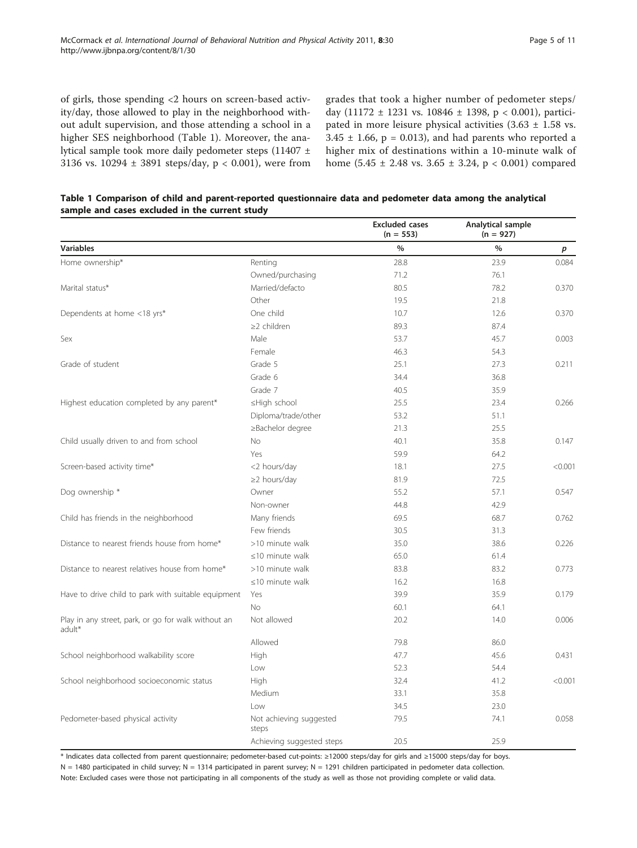of girls, those spending <2 hours on screen-based activity/day, those allowed to play in the neighborhood without adult supervision, and those attending a school in a higher SES neighborhood (Table 1). Moreover, the analytical sample took more daily pedometer steps (11407 ± 3136 vs. 10294 ± 3891 steps/day, p < 0.001), were from grades that took a higher number of pedometer steps/ day (11172  $\pm$  1231 vs. 10846  $\pm$  1398, p < 0.001), participated in more leisure physical activities  $(3.63 \pm 1.58 \text{ vs.}$  $3.45 \pm 1.66$ , p = 0.013), and had parents who reported a higher mix of destinations within a 10-minute walk of home (5.45  $\pm$  2.48 vs. 3.65  $\pm$  3.24, p < 0.001) compared

| Table 1 Comparison of child and parent-reported questionnaire data and pedometer data among the analytical |  |
|------------------------------------------------------------------------------------------------------------|--|
| sample and cases excluded in the current study                                                             |  |

|                                                               |                                  | <b>Excluded cases</b><br>$(n = 553)$ | Analytical sample<br>$(n = 927)$ |         |
|---------------------------------------------------------------|----------------------------------|--------------------------------------|----------------------------------|---------|
| <b>Variables</b>                                              |                                  | $\frac{0}{0}$                        | $\%$                             | p       |
| Home ownership*                                               | Renting                          | 28.8                                 | 23.9                             | 0.084   |
|                                                               | Owned/purchasing                 | 71.2                                 | 76.1                             |         |
| Marital status*                                               | Married/defacto                  | 80.5                                 | 78.2                             | 0.370   |
|                                                               | Other                            | 19.5                                 | 21.8                             |         |
| Dependents at home <18 yrs*                                   | One child                        | 10.7                                 | 12.6                             | 0.370   |
|                                                               | $\geq$ 2 children                | 89.3                                 | 87.4                             |         |
| Sex                                                           | Male                             | 53.7                                 | 45.7                             | 0.003   |
|                                                               | Female                           | 46.3                                 | 54.3                             |         |
| Grade of student                                              | Grade 5                          | 25.1                                 | 27.3                             | 0.211   |
|                                                               | Grade 6                          | 34.4                                 | 36.8                             |         |
|                                                               | Grade 7                          | 40.5                                 | 35.9                             |         |
| Highest education completed by any parent*                    | ≤High school                     | 25.5                                 | 23.4                             | 0.266   |
|                                                               | Diploma/trade/other              | 53.2                                 | 51.1                             |         |
|                                                               | ≥Bachelor degree                 | 21.3                                 | 25.5                             |         |
| Child usually driven to and from school                       | No                               | 40.1                                 | 35.8                             | 0.147   |
|                                                               | Yes                              | 59.9                                 | 64.2                             |         |
| Screen-based activity time*                                   | <2 hours/day                     | 18.1                                 | 27.5                             | < 0.001 |
|                                                               | $\geq$ 2 hours/day               | 81.9                                 | 72.5                             |         |
| Dog ownership *                                               | Owner                            | 55.2                                 | 57.1                             | 0.547   |
|                                                               | Non-owner                        | 44.8                                 | 42.9                             |         |
| Child has friends in the neighborhood                         | Many friends                     | 69.5                                 | 68.7                             | 0.762   |
|                                                               | Few friends                      | 30.5                                 | 31.3                             |         |
| Distance to nearest friends house from home*                  | >10 minute walk                  | 35.0                                 | 38.6                             | 0.226   |
|                                                               | $\leq$ 10 minute walk            | 65.0                                 | 61.4                             |         |
| Distance to nearest relatives house from home*                | >10 minute walk                  | 83.8                                 | 83.2                             | 0.773   |
|                                                               | $\leq$ 10 minute walk            | 16.2                                 | 16.8                             |         |
| Have to drive child to park with suitable equipment           | Yes                              | 39.9                                 | 35.9                             | 0.179   |
|                                                               | <b>No</b>                        | 60.1                                 | 64.1                             |         |
| Play in any street, park, or go for walk without an<br>adult* | Not allowed                      | 20.2                                 | 14.0                             | 0.006   |
|                                                               | Allowed                          | 79.8                                 | 86.0                             |         |
| School neighborhood walkability score                         | High                             | 47.7                                 | 45.6                             | 0.431   |
|                                                               | Low                              | 52.3                                 | 54.4                             |         |
| School neighborhood socioeconomic status                      | High                             | 32.4                                 | 41.2                             | < 0.001 |
|                                                               | Medium                           | 33.1                                 | 35.8                             |         |
|                                                               | Low                              | 34.5                                 | 23.0                             |         |
| Pedometer-based physical activity                             | Not achieving suggested<br>steps | 79.5                                 | 74.1                             | 0.058   |
|                                                               | Achieving suggested steps        | 20.5                                 | 25.9                             |         |

\* Indicates data collected from parent questionnaire; pedometer-based cut-points: ≥12000 steps/day for girls and ≥15000 steps/day for boys. N = 1480 participated in child survey; N = 1314 participated in parent survey; N = 1291 children participated in pedometer data collection. Note: Excluded cases were those not participating in all components of the study as well as those not providing complete or valid data.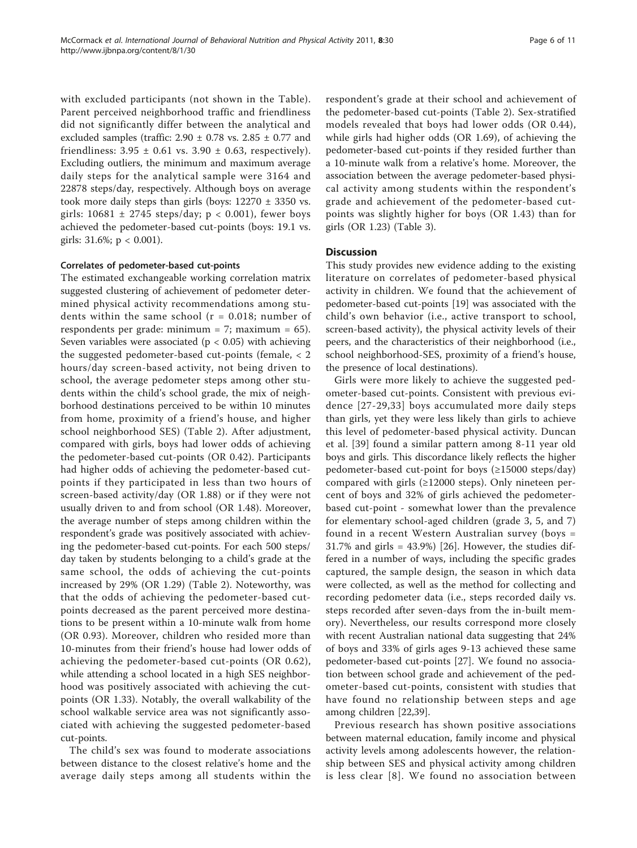with excluded participants (not shown in the Table). Parent perceived neighborhood traffic and friendliness did not significantly differ between the analytical and excluded samples (traffic:  $2.90 \pm 0.78$  vs.  $2.85 \pm 0.77$  and friendliness:  $3.95 \pm 0.61$  vs.  $3.90 \pm 0.63$ , respectively). Excluding outliers, the minimum and maximum average daily steps for the analytical sample were 3164 and 22878 steps/day, respectively. Although boys on average took more daily steps than girls (boys:  $12270 \pm 3350$  vs. girls:  $10681 \pm 2745$  steps/day;  $p < 0.001$ ), fewer boys achieved the pedometer-based cut-points (boys: 19.1 vs. girls: 31.6%;  $p < 0.001$ ).

#### Correlates of pedometer-based cut-points

The estimated exchangeable working correlation matrix suggested clustering of achievement of pedometer determined physical activity recommendations among students within the same school  $(r = 0.018;$  number of respondents per grade: minimum = 7; maximum = 65). Seven variables were associated ( $p < 0.05$ ) with achieving the suggested pedometer-based cut-points (female, < 2 hours/day screen-based activity, not being driven to school, the average pedometer steps among other students within the child's school grade, the mix of neighborhood destinations perceived to be within 10 minutes from home, proximity of a friend's house, and higher school neighborhood SES) (Table [2](#page-6-0)). After adjustment, compared with girls, boys had lower odds of achieving the pedometer-based cut-points (OR 0.42). Participants had higher odds of achieving the pedometer-based cutpoints if they participated in less than two hours of screen-based activity/day (OR 1.88) or if they were not usually driven to and from school (OR 1.48). Moreover, the average number of steps among children within the respondent's grade was positively associated with achieving the pedometer-based cut-points. For each 500 steps/ day taken by students belonging to a child's grade at the same school, the odds of achieving the cut-points increased by 29% (OR 1.29) (Table [2\)](#page-6-0). Noteworthy, was that the odds of achieving the pedometer-based cutpoints decreased as the parent perceived more destinations to be present within a 10-minute walk from home (OR 0.93). Moreover, children who resided more than 10-minutes from their friend's house had lower odds of achieving the pedometer-based cut-points (OR 0.62), while attending a school located in a high SES neighborhood was positively associated with achieving the cutpoints (OR 1.33). Notably, the overall walkability of the school walkable service area was not significantly associated with achieving the suggested pedometer-based cut-points.

The child's sex was found to moderate associations between distance to the closest relative's home and the average daily steps among all students within the respondent's grade at their school and achievement of the pedometer-based cut-points (Table [2\)](#page-6-0). Sex-stratified models revealed that boys had lower odds (OR 0.44), while girls had higher odds (OR 1.69), of achieving the pedometer-based cut-points if they resided further than a 10-minute walk from a relative's home. Moreover, the association between the average pedometer-based physical activity among students within the respondent's grade and achievement of the pedometer-based cutpoints was slightly higher for boys (OR 1.43) than for girls (OR 1.23) (Table [3\)](#page-7-0).

# **Discussion**

This study provides new evidence adding to the existing literature on correlates of pedometer-based physical activity in children. We found that the achievement of pedometer-based cut-points [[19\]](#page-9-0) was associated with the child's own behavior (i.e., active transport to school, screen-based activity), the physical activity levels of their peers, and the characteristics of their neighborhood (i.e., school neighborhood-SES, proximity of a friend's house, the presence of local destinations).

Girls were more likely to achieve the suggested pedometer-based cut-points. Consistent with previous evidence [[27](#page-9-0)-[29,](#page-9-0)[33\]](#page-10-0) boys accumulated more daily steps than girls, yet they were less likely than girls to achieve this level of pedometer-based physical activity. Duncan et al. [\[39](#page-10-0)] found a similar pattern among 8-11 year old boys and girls. This discordance likely reflects the higher pedometer-based cut-point for boys (≥15000 steps/day) compared with girls  $(\geq 12000$  steps). Only nineteen percent of boys and 32% of girls achieved the pedometerbased cut-point - somewhat lower than the prevalence for elementary school-aged children (grade 3, 5, and 7) found in a recent Western Australian survey (boys =  $31.7\%$  and girls =  $43.9\%$  [[26\]](#page-9-0). However, the studies differed in a number of ways, including the specific grades captured, the sample design, the season in which data were collected, as well as the method for collecting and recording pedometer data (i.e., steps recorded daily vs. steps recorded after seven-days from the in-built memory). Nevertheless, our results correspond more closely with recent Australian national data suggesting that 24% of boys and 33% of girls ages 9-13 achieved these same pedometer-based cut-points [\[27\]](#page-9-0). We found no association between school grade and achievement of the pedometer-based cut-points, consistent with studies that have found no relationship between steps and age among children [\[22](#page-9-0)[,39](#page-10-0)].

Previous research has shown positive associations between maternal education, family income and physical activity levels among adolescents however, the relationship between SES and physical activity among children is less clear [[8\]](#page-9-0). We found no association between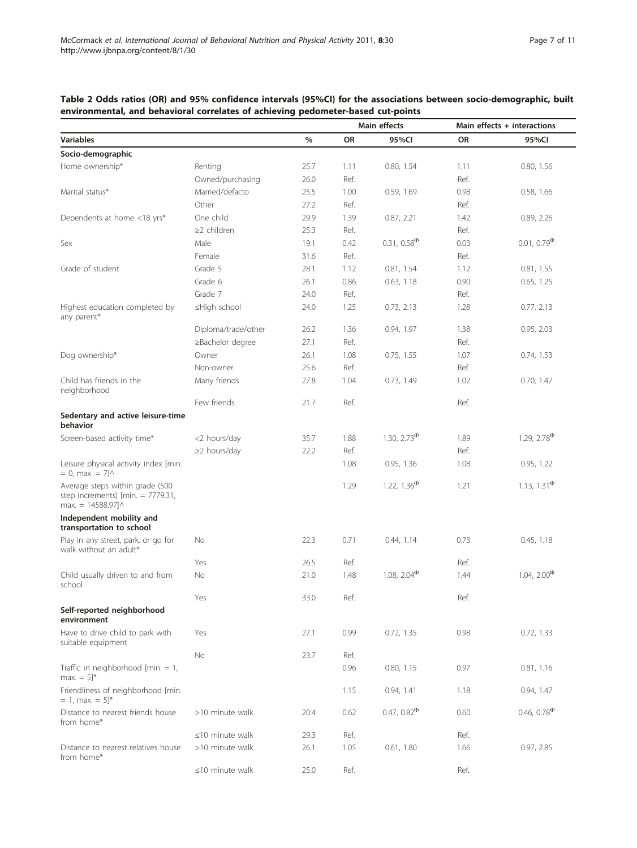|                                                                                                                             |                       |      | Main effects |                         | Main effects $+$ interactions |                     |
|-----------------------------------------------------------------------------------------------------------------------------|-----------------------|------|--------------|-------------------------|-------------------------------|---------------------|
| <b>Variables</b>                                                                                                            |                       | $\%$ | <b>OR</b>    | 95%CI                   | OR                            | 95%CI               |
| Socio-demographic                                                                                                           |                       |      |              |                         |                               |                     |
| Home ownership*                                                                                                             | Renting               | 25.7 | 1.11         | 0.80, 1.54              | 1.11                          | 0.80, 1.56          |
|                                                                                                                             | Owned/purchasing      | 26.0 | Ref.         |                         | Ref.                          |                     |
| Marital status*                                                                                                             | Married/defacto       | 25.5 | 1.00         | 0.59, 1.69              | 0.98                          | 0.58, 1.66          |
|                                                                                                                             | Other                 | 27.2 | Ref.         |                         | Ref.                          |                     |
| Dependents at home <18 yrs*                                                                                                 | One child             | 29.9 | 1.39         | 0.87, 2.21              | 1.42                          | 0.89, 2.26          |
|                                                                                                                             | $\geq$ 2 children     | 25.3 | Ref.         |                         | Ref.                          |                     |
| Sex                                                                                                                         | Male                  | 19.1 | 0.42         | $0.31, 0.58^{\text{d}}$ | 0.03                          | $0.01, 0.79^{\Phi}$ |
|                                                                                                                             | Female                | 31.6 | Ref.         |                         | Ref.                          |                     |
| Grade of student                                                                                                            | Grade 5               | 28.1 | 1.12         | 0.81, 1.54              | 1.12                          | 0.81, 1.55          |
|                                                                                                                             | Grade 6               | 26.1 | 0.86         | 0.63, 1.18              | 0.90                          | 0.65, 1.25          |
|                                                                                                                             | Grade 7               | 24.0 | Ref.         |                         | Ref.                          |                     |
| Highest education completed by<br>any parent*                                                                               | ≤High school          | 24.0 | 1.25         | 0.73, 2.13              | 1.28                          | 0.77, 2.13          |
|                                                                                                                             | Diploma/trade/other   | 26.2 | 1.36         | 0.94, 1.97              | 1.38                          | 0.95, 2.03          |
|                                                                                                                             | ≥Bachelor degree      | 27.1 | Ref.         |                         | Ref.                          |                     |
| Dog ownership*                                                                                                              | Owner                 | 26.1 | 1.08         | 0.75, 1.55              | 1.07                          | 0.74, 1.53          |
|                                                                                                                             | Non-owner             | 25.6 | Ref.         |                         | Ref.                          |                     |
| Child has friends in the<br>neighborhood                                                                                    | Many friends          | 27.8 | 1.04         | 0.73, 1.49              | 1.02                          | 0.70, 1.47          |
|                                                                                                                             | Few friends           | 21.7 | Ref.         |                         | Ref.                          |                     |
| Sedentary and active leisure-time<br>behavior                                                                               |                       |      |              |                         |                               |                     |
| Screen-based activity time*                                                                                                 | <2 hours/day          | 35.7 | 1.88         | 1.30, $2.73^{\Phi}$     | 1.89                          | 1.29, $2.78^{\Phi}$ |
|                                                                                                                             | $\geq$ 2 hours/day    | 22.2 | Ref.         |                         | Ref.                          |                     |
| Leisure physical activity index [min.<br>$= 0$ , max. $= 7$ ] $\wedge$                                                      |                       |      | 1.08         | 0.95, 1.36              | 1.08                          | 0.95, 1.22          |
| Average steps within grade (500<br>step increments) [min. $= 7779.31$ ,<br>$max. = 14588.97$ <sup><math>\wedge</math></sup> |                       |      | 1.29         | 1.22, $1.36^{\Phi}$     | 1.21                          | 1.13, $1.31^{\Phi}$ |
| Independent mobility and<br>transportation to school                                                                        |                       |      |              |                         |                               |                     |
| Play in any street, park, or go for<br>walk without an adult*                                                               | No                    | 22.3 | 0.71         | 0.44, 1.14              | 0.73                          | 0.45, 1.18          |
|                                                                                                                             | Yes                   | 26.5 | Ref.         |                         | Ref.                          |                     |
| Child usually driven to and from<br>school                                                                                  | No                    | 21.0 | 1.48         | 1.08, $2.04^{\Phi}$     | 1.44                          | 1.04, $2.00^{\Phi}$ |
|                                                                                                                             | Yes                   | 33.0 | Ref.         |                         | Ref.                          |                     |
| Self-reported neighborhood<br>environment                                                                                   |                       |      |              |                         |                               |                     |
| Have to drive child to park with<br>suitable equipment                                                                      | Yes                   | 27.1 | 0.99         | 0.72, 1.35              | 0.98                          | 0.72, 1.33          |
|                                                                                                                             | No                    | 23.7 | Ref.         |                         |                               |                     |
| Traffic in neighborhood [min. $= 1$ ,<br>$max. = 5$ <sup>*</sup>                                                            |                       |      | 0.96         | 0.80, 1.15              | 0.97                          | 0.81, 1.16          |
| Friendliness of neighborhood [min.<br>$= 1$ , max. $= 5$ <sup>*</sup>                                                       |                       |      | 1.15         | 0.94, 1.41              | 1.18                          | 0.94, 1.47          |
| Distance to nearest friends house<br>from home*                                                                             | >10 minute walk       | 20.4 | 0.62         | $0.47, 0.82^{\Phi}$     | 0.60                          | 0.46, 0.78 $\Phi$   |
|                                                                                                                             | $\leq$ 10 minute walk | 29.3 | Ref.         |                         | Ref.                          |                     |
| Distance to nearest relatives house<br>from home*                                                                           | >10 minute walk       | 26.1 | 1.05         | 0.61, 1.80              | 1.66                          | 0.97, 2.85          |
|                                                                                                                             | $\leq$ 10 minute walk | 25.0 | Ref.         |                         | Ref.                          |                     |

# <span id="page-6-0"></span>Table 2 Odds ratios (OR) and 95% confidence intervals (95%CI) for the associations between socio-demographic, built environmental, and behavioral correlates of achieving pedometer-based cut-points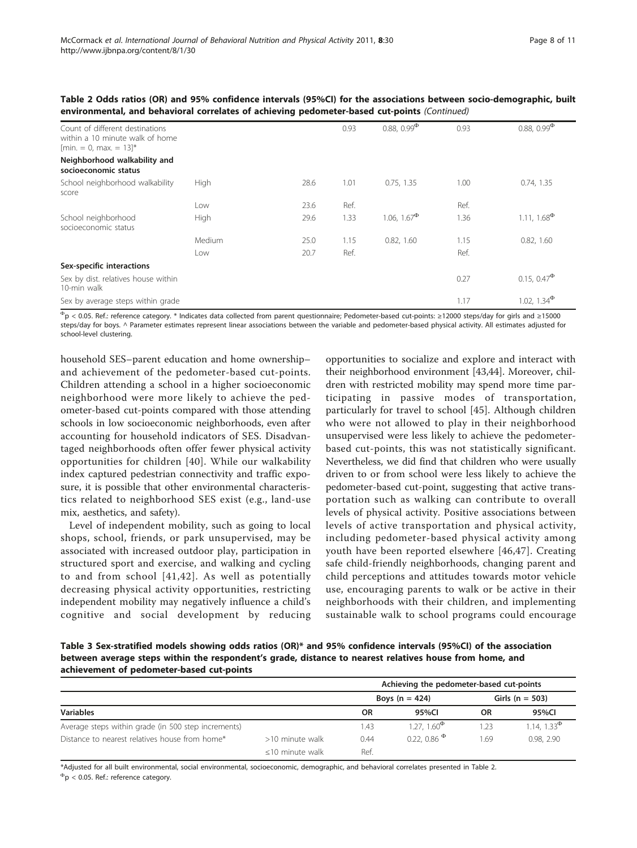| Count of different destinations<br>within a 10 minute walk of home<br>$\text{[min.} = 0$ , max. = 13]* |        |      | 0.93 | $0.88, 0.99^{\Phi}$ | 0.93 | 0.88, 0.99 $\Phi$   |
|--------------------------------------------------------------------------------------------------------|--------|------|------|---------------------|------|---------------------|
| Neighborhood walkability and<br>socioeconomic status                                                   |        |      |      |                     |      |                     |
| School neighborhood walkability<br>score                                                               | High   | 28.6 | 1.01 | 0.75, 1.35          | 1.00 | 0.74, 1.35          |
|                                                                                                        | Low    | 23.6 | Ref. |                     | Ref. |                     |
| School neighborhood<br>socioeconomic status                                                            | High   | 29.6 | 1.33 | 1.06, 1.67 $\Phi$   | 1.36 | 1.11, $1.68^{\Phi}$ |
|                                                                                                        | Medium | 25.0 | 1.15 | 0.82, 1.60          | 1.15 | 0.82, 1.60          |
|                                                                                                        | Low    | 20.7 | Ref. |                     | Ref. |                     |
| Sex-specific interactions                                                                              |        |      |      |                     |      |                     |
| Sex by dist. relatives house within<br>10-min walk                                                     |        |      |      |                     | 0.27 | 0.15, 0.47 $\Phi$   |
| Sex by average steps within grade                                                                      |        |      |      |                     | 1.17 | 1.02, $1.34^{\Phi}$ |

<span id="page-7-0"></span>Table 2 Odds ratios (OR) and 95% confidence intervals (95%CI) for the associations between socio-demographic, built environmental, and behavioral correlates of achieving pedometer-based cut-points (Continued)

 $^{\circ}$ p < 0.05. Ref.: reference category. \* Indicates data collected from parent questionnaire; Pedometer-based cut-points: ≥12000 steps/day for girls and ≥15000 steps/day for boys. ^ Parameter estimates represent linear associations between the variable and pedometer-based physical activity. All estimates adjusted for school-level clustering.

household SES–parent education and home ownership– and achievement of the pedometer-based cut-points. Children attending a school in a higher socioeconomic neighborhood were more likely to achieve the pedometer-based cut-points compared with those attending schools in low socioeconomic neighborhoods, even after accounting for household indicators of SES. Disadvantaged neighborhoods often offer fewer physical activity opportunities for children [[40](#page-10-0)]. While our walkability index captured pedestrian connectivity and traffic exposure, it is possible that other environmental characteristics related to neighborhood SES exist (e.g., land-use mix, aesthetics, and safety).

Level of independent mobility, such as going to local shops, school, friends, or park unsupervised, may be associated with increased outdoor play, participation in structured sport and exercise, and walking and cycling to and from school [[41,42](#page-10-0)]. As well as potentially decreasing physical activity opportunities, restricting independent mobility may negatively influence a child's cognitive and social development by reducing

opportunities to socialize and explore and interact with their neighborhood environment [\[43,44\]](#page-10-0). Moreover, children with restricted mobility may spend more time participating in passive modes of transportation, particularly for travel to school [[45\]](#page-10-0). Although children who were not allowed to play in their neighborhood unsupervised were less likely to achieve the pedometerbased cut-points, this was not statistically significant. Nevertheless, we did find that children who were usually driven to or from school were less likely to achieve the pedometer-based cut-point, suggesting that active transportation such as walking can contribute to overall levels of physical activity. Positive associations between levels of active transportation and physical activity, including pedometer-based physical activity among youth have been reported elsewhere [\[46,47](#page-10-0)]. Creating safe child-friendly neighborhoods, changing parent and child perceptions and attitudes towards motor vehicle use, encouraging parents to walk or be active in their neighborhoods with their children, and implementing sustainable walk to school programs could encourage

Table 3 Sex-stratified models showing odds ratios (OR)\* and 95% confidence intervals (95%CI) of the association between average steps within the respondent's grade, distance to nearest relatives house from home, and achievement of pedometer-based cut-points

|                                                     |                    | Achieving the pedometer-based cut-points |                             |                     |                     |
|-----------------------------------------------------|--------------------|------------------------------------------|-----------------------------|---------------------|---------------------|
|                                                     |                    | Boys $(n = 424)$                         |                             | Girls ( $n = 503$ ) |                     |
| <b>Variables</b>                                    |                    | OR                                       | 95%CI                       | ΟR                  | 95%CI               |
| Average steps within grade (in 500 step increments) |                    | 1.43                                     | $1.27.1.60^{\Phi}$          | 1.23                | 1.14. $1.33^{\Phi}$ |
| Distance to nearest relatives house from home*      | $>10$ minute walk  | 0.44                                     | $0.22.0.86 \text{ }^{\Phi}$ | 1.69                | 0.98, 2.90          |
|                                                     | $<$ 10 minute walk | Ref.                                     |                             |                     |                     |

\*Adjusted for all built environmental, social environmental, socioeconomic, demographic, and behavioral correlates presented in Table 2.

 $\Phi$ p < 0.05. Ref.: reference category.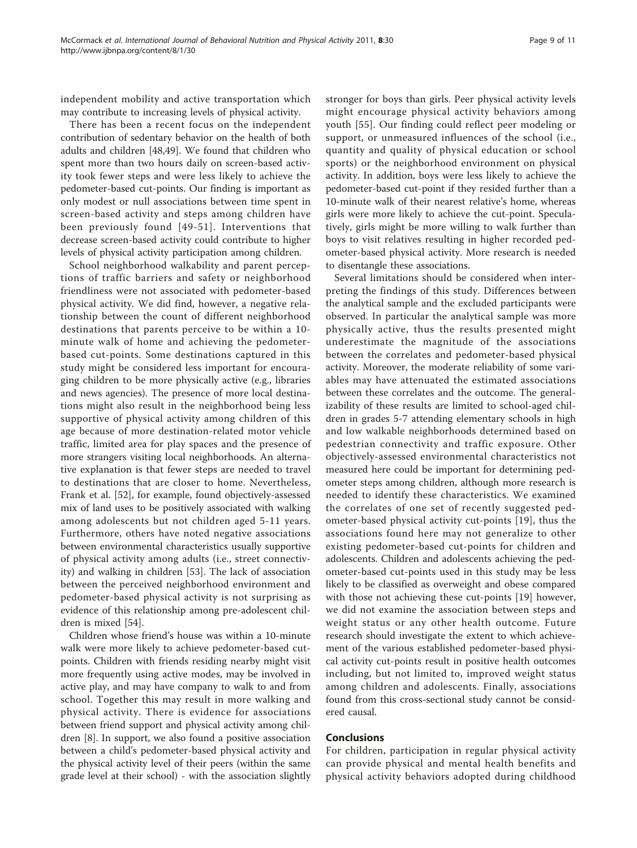independent mobility and active transportation which may contribute to increasing levels of physical activity.

There has been a recent focus on the independent contribution of sedentary behavior on the health of both adults and children [\[48,49](#page-10-0)]. We found that children who spent more than two hours daily on screen-based activity took fewer steps and were less likely to achieve the pedometer-based cut-points. Our finding is important as only modest or null associations between time spent in screen-based activity and steps among children have been previously found [[49-51\]](#page-10-0). Interventions that decrease screen-based activity could contribute to higher levels of physical activity participation among children.

School neighborhood walkability and parent perceptions of traffic barriers and safety or neighborhood friendliness were not associated with pedometer-based physical activity. We did find, however, a negative relationship between the count of different neighborhood destinations that parents perceive to be within a 10 minute walk of home and achieving the pedometerbased cut-points. Some destinations captured in this study might be considered less important for encouraging children to be more physically active (e.g., libraries and news agencies). The presence of more local destinations might also result in the neighborhood being less supportive of physical activity among children of this age because of more destination-related motor vehicle traffic, limited area for play spaces and the presence of more strangers visiting local neighborhoods. An alternative explanation is that fewer steps are needed to travel to destinations that are closer to home. Nevertheless, Frank et al. [\[52\]](#page-10-0), for example, found objectively-assessed mix of land uses to be positively associated with walking among adolescents but not children aged 5-11 years. Furthermore, others have noted negative associations between environmental characteristics usually supportive of physical activity among adults (i.e., street connectivity) and walking in children [\[53](#page-10-0)]. The lack of association between the perceived neighborhood environment and pedometer-based physical activity is not surprising as evidence of this relationship among pre-adolescent children is mixed [[54](#page-10-0)].

Children whose friend's house was within a 10-minute walk were more likely to achieve pedometer-based cutpoints. Children with friends residing nearby might visit more frequently using active modes, may be involved in active play, and may have company to walk to and from school. Together this may result in more walking and physical activity. There is evidence for associations between friend support and physical activity among children [[8\]](#page-9-0). In support, we also found a positive association between a child's pedometer-based physical activity and the physical activity level of their peers (within the same grade level at their school) - with the association slightly stronger for boys than girls. Peer physical activity levels might encourage physical activity behaviors among youth [[55\]](#page-10-0). Our finding could reflect peer modeling or support, or unmeasured influences of the school (i.e., quantity and quality of physical education or school sports) or the neighborhood environment on physical activity. In addition, boys were less likely to achieve the pedometer-based cut-point if they resided further than a 10-minute walk of their nearest relative's home, whereas girls were more likely to achieve the cut-point. Speculatively, girls might be more willing to walk further than boys to visit relatives resulting in higher recorded pedometer-based physical activity. More research is needed to disentangle these associations.

Several limitations should be considered when interpreting the findings of this study. Differences between the analytical sample and the excluded participants were observed. In particular the analytical sample was more physically active, thus the results presented might underestimate the magnitude of the associations between the correlates and pedometer-based physical activity. Moreover, the moderate reliability of some variables may have attenuated the estimated associations between these correlates and the outcome. The generalizability of these results are limited to school-aged children in grades 5-7 attending elementary schools in high and low walkable neighborhoods determined based on pedestrian connectivity and traffic exposure. Other objectively-assessed environmental characteristics not measured here could be important for determining pedometer steps among children, although more research is needed to identify these characteristics. We examined the correlates of one set of recently suggested pedometer-based physical activity cut-points [[19](#page-9-0)], thus the associations found here may not generalize to other existing pedometer-based cut-points for children and adolescents. Children and adolescents achieving the pedometer-based cut-points used in this study may be less likely to be classified as overweight and obese compared with those not achieving these cut-points [\[19](#page-9-0)] however, we did not examine the association between steps and weight status or any other health outcome. Future research should investigate the extent to which achievement of the various established pedometer-based physical activity cut-points result in positive health outcomes including, but not limited to, improved weight status among children and adolescents. Finally, associations found from this cross-sectional study cannot be considered causal.

# Conclusions

For children, participation in regular physical activity can provide physical and mental health benefits and physical activity behaviors adopted during childhood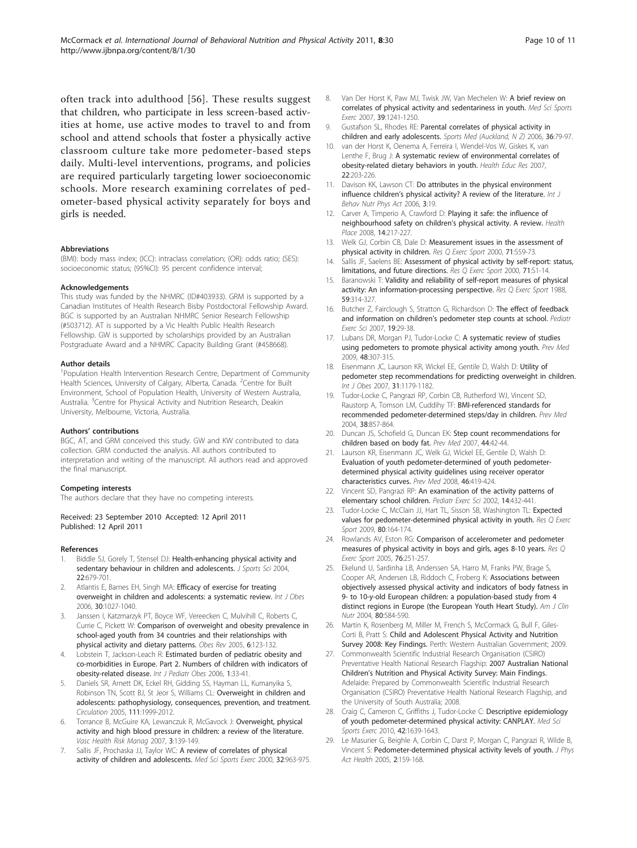<span id="page-9-0"></span>often track into adulthood [[56](#page-10-0)]. These results suggest that children, who participate in less screen-based activities at home, use active modes to travel to and from school and attend schools that foster a physically active classroom culture take more pedometer-based steps daily. Multi-level interventions, programs, and policies are required particularly targeting lower socioeconomic schools. More research examining correlates of pedometer-based physical activity separately for boys and girls is needed.

#### Abbreviations

(BMI): body mass index; (ICC): intraclass correlation; (OR): odds ratio; (SES): socioeconomic status; (95%CI): 95 percent confidence interval;

#### Acknowledgements

This study was funded by the NHMRC (ID#403933). GRM is supported by a Canadian Institutes of Health Research Bisby Postdoctoral Fellowship Award. BGC is supported by an Australian NHMRC Senior Research Fellowship (#503712). AT is supported by a Vic Health Public Health Research Fellowship. GW is supported by scholarships provided by an Australian Postgraduate Award and a NHMRC Capacity Building Grant (#458668).

#### Author details

<sup>1</sup> Population Health Intervention Research Centre, Department of Community Health Sciences, University of Calgary, Alberta, Canada. <sup>2</sup>Centre for Built Environment, School of Population Health, University of Western Australia, Australia. <sup>3</sup>Centre for Physical Activity and Nutrition Research, Deakin University, Melbourne, Victoria, Australia.

#### Authors' contributions

BGC, AT, and GRM conceived this study. GW and KW contributed to data collection. GRM conducted the analysis. All authors contributed to interpretation and writing of the manuscript. All authors read and approved the final manuscript.

#### Competing interests

The authors declare that they have no competing interests.

Received: 23 September 2010 Accepted: 12 April 2011 Published: 12 April 2011

#### References

- Biddle SJ, Gorely T, Stensel DJ: [Health-enhancing physical activity and](http://www.ncbi.nlm.nih.gov/pubmed/15370482?dopt=Abstract) [sedentary behaviour in children and adolescents.](http://www.ncbi.nlm.nih.gov/pubmed/15370482?dopt=Abstract) J Sports Sci 2004, 22:679-701.
- Atlantis E, Barnes EH, Singh MA: Efficacy of exercise for treating overweight in children and adolescents: a systematic review. Int J Obes 2006, 30:1027-1040.
- 3. Janssen I, Katzmarzyk PT, Boyce WF, Vereecken C, Mulvihill C, Roberts C, Currie C, Pickett W: [Comparison of overweight and obesity prevalence in](http://www.ncbi.nlm.nih.gov/pubmed/15836463?dopt=Abstract) [school-aged youth from 34 countries and their relationships with](http://www.ncbi.nlm.nih.gov/pubmed/15836463?dopt=Abstract) [physical activity and dietary patterns.](http://www.ncbi.nlm.nih.gov/pubmed/15836463?dopt=Abstract) Obes Rev 2005, 6:123-132.
- Lobstein T, Jackson-Leach R: [Estimated burden of pediatric obesity and](http://www.ncbi.nlm.nih.gov/pubmed/17902213?dopt=Abstract) [co-morbidities in Europe. Part 2. Numbers of children with indicators of](http://www.ncbi.nlm.nih.gov/pubmed/17902213?dopt=Abstract) [obesity-related disease.](http://www.ncbi.nlm.nih.gov/pubmed/17902213?dopt=Abstract) Int J Pediatr Obes 2006, 1:33-41.
- 5. Daniels SR, Arnett DK, Eckel RH, Gidding SS, Hayman LL, Kumanyika S, Robinson TN, Scott BJ, St Jeor S, Williams CL: [Overweight in children and](http://www.ncbi.nlm.nih.gov/pubmed/15837955?dopt=Abstract) [adolescents: pathophysiology, consequences, prevention, and treatment.](http://www.ncbi.nlm.nih.gov/pubmed/15837955?dopt=Abstract) Circulation 2005, 111:1999-2012.
- Torrance B, McGuire KA, Lewanczuk R, McGavock J: [Overweight, physical](http://www.ncbi.nlm.nih.gov/pubmed/17583184?dopt=Abstract) [activity and high blood pressure in children: a review of the literature.](http://www.ncbi.nlm.nih.gov/pubmed/17583184?dopt=Abstract) Vasc Health Risk Manag 2007, 3:139-149.
- 7. Sallis JF, Prochaska JJ, Taylor WC: [A review of correlates of physical](http://www.ncbi.nlm.nih.gov/pubmed/10795788?dopt=Abstract) [activity of children and adolescents.](http://www.ncbi.nlm.nih.gov/pubmed/10795788?dopt=Abstract) Med Sci Sports Exerc 2000, 32:963-975.
- 8. Van Der Horst K, Paw MJ, Twisk JW, Van Mechelen W: [A brief review on](http://www.ncbi.nlm.nih.gov/pubmed/17762356?dopt=Abstract) [correlates of physical activity and sedentariness in youth.](http://www.ncbi.nlm.nih.gov/pubmed/17762356?dopt=Abstract) Med Sci Sports Exerc 2007, 39:1241-1250.
- 9. Gustafson SL, Rhodes RE: Parental correlates of physical activity in children and early adolescents. Sports Med (Auckland, N Z) 2006, 36:79-97.
- 10. van der Horst K, Oenema A, Ferreira I, Wendel-Vos W, Giskes K, van Lenthe F, Brug J: [A systematic review of environmental correlates of](http://www.ncbi.nlm.nih.gov/pubmed/16861362?dopt=Abstract) [obesity-related dietary behaviors in youth.](http://www.ncbi.nlm.nih.gov/pubmed/16861362?dopt=Abstract) Health Educ Res 2007, 22:203-226.
- 11. Davison KK, Lawson CT: [Do attributes in the physical environment](http://www.ncbi.nlm.nih.gov/pubmed/16872543?dopt=Abstract) influence children'[s physical activity? A review of the literature.](http://www.ncbi.nlm.nih.gov/pubmed/16872543?dopt=Abstract) Int J Behav Nutr Phys Act 2006, 3:19.
- 12. Carver A, Timperio A, Crawford D: [Playing it safe: the influence of](http://www.ncbi.nlm.nih.gov/pubmed/17662638?dopt=Abstract) [neighbourhood safety on children](http://www.ncbi.nlm.nih.gov/pubmed/17662638?dopt=Abstract)'s physical activity. A review. Health Place 2008, 14:217-227.
- 13. Welk GJ, Corbin CB, Dale D: [Measurement issues in the assessment of](http://www.ncbi.nlm.nih.gov/pubmed/10925827?dopt=Abstract) [physical activity in children.](http://www.ncbi.nlm.nih.gov/pubmed/10925827?dopt=Abstract) Res Q Exerc Sport 2000, 71:S59-73.
- 14. Sallis JF, Saelens BE: Assessment [of physical activity by self-report: status,](http://www.ncbi.nlm.nih.gov/pubmed/10925819?dopt=Abstract) [limitations, and future directions.](http://www.ncbi.nlm.nih.gov/pubmed/10925819?dopt=Abstract) Res Q Exerc Sport 2000, 71:S1-14.
- 15. Baranowski T: Validity and reliability of self-report measures of physical activity: An information-processing perspective. Res Q Exerc Sport 1988, 59:314-327.
- 16. Butcher Z, Fairclough S, Stratton G, Richardson D: [The effect of feedback](http://www.ncbi.nlm.nih.gov/pubmed/17554155?dopt=Abstract) and information on children'[s pedometer step counts at school.](http://www.ncbi.nlm.nih.gov/pubmed/17554155?dopt=Abstract) Pediatr Exerc Sci 2007, 19:29-38.
- 17. Lubans DR, Morgan PJ, Tudor-Locke C: [A systematic review of studies](http://www.ncbi.nlm.nih.gov/pubmed/19249328?dopt=Abstract) [using pedometers to promote physical activity among youth.](http://www.ncbi.nlm.nih.gov/pubmed/19249328?dopt=Abstract) Prev Med 2009, 48:307-315.
- 18. Eisenmann JC, Laurson KR, Wickel EE, Gentile D, Walsh D: Utility of pedometer step recommendations for predicting overweight in children. Int J Obes 2007, 31:1179-1182.
- 19. Tudor-Locke C, Pangrazi RP, Corbin CB, Rutherford WJ, Vincent SD, Raustorp A, Tomson LM, Cuddihy TF: [BMI-referenced standards for](http://www.ncbi.nlm.nih.gov/pubmed/15193909?dopt=Abstract) [recommended pedometer-determined steps/day in children.](http://www.ncbi.nlm.nih.gov/pubmed/15193909?dopt=Abstract) Prev Med 2004, 38:857-864.
- 20. Duncan JS, Schofield G, Duncan EK: [Step count recommendations for](http://www.ncbi.nlm.nih.gov/pubmed/17011618?dopt=Abstract) [children based on body fat.](http://www.ncbi.nlm.nih.gov/pubmed/17011618?dopt=Abstract) Prev Med 2007, 44:42-44.
- 21. Laurson KR, Eisenmann JC, Welk GJ, Wickel EE, Gentile D, Walsh D: [Evaluation of youth pedometer-determined of youth pedometer](http://www.ncbi.nlm.nih.gov/pubmed/18234326?dopt=Abstract)[determined physical activity guidelines using receiver operator](http://www.ncbi.nlm.nih.gov/pubmed/18234326?dopt=Abstract) [characteristics curves.](http://www.ncbi.nlm.nih.gov/pubmed/18234326?dopt=Abstract) Prev Med 2008, 46:419-424.
- 22. Vincent SD, Pangrazi RP: An examination of the activity patterns of elementary school children. Pediatr Exerc Sci 2002, 14:432-441.
- 23. Tudor-Locke C, McClain JJ, Hart TL, Sisson SB, Washington TL: [Expected](http://www.ncbi.nlm.nih.gov/pubmed/19650381?dopt=Abstract) [values for pedometer-determined physical activity in youth.](http://www.ncbi.nlm.nih.gov/pubmed/19650381?dopt=Abstract) Res Q Exerc Sport 2009, 80:164-174.
- 24. Rowlands AV, Eston RG: [Comparison of accelerometer and pedometer](http://www.ncbi.nlm.nih.gov/pubmed/16270702?dopt=Abstract) [measures of physical activity in boys and girls, ages 8-10 years.](http://www.ncbi.nlm.nih.gov/pubmed/16270702?dopt=Abstract) Res Q Exerc Sport 2005, 76:251-257.
- 25. Ekelund U, Sardinha LB, Anderssen SA, Harro M, Franks PW, Brage S, Cooper AR, Andersen LB, Riddoch C, Froberg K: [Associations between](http://www.ncbi.nlm.nih.gov/pubmed/15321796?dopt=Abstract) [objectively assessed physical activity and indicators of body fatness in](http://www.ncbi.nlm.nih.gov/pubmed/15321796?dopt=Abstract) [9- to 10-y-old European children: a population-based study from 4](http://www.ncbi.nlm.nih.gov/pubmed/15321796?dopt=Abstract) [distinct regions in Europe \(the European Youth Heart Study\).](http://www.ncbi.nlm.nih.gov/pubmed/15321796?dopt=Abstract) Am J Clin Nutr 2004, 80:584-590.
- 26. Martin K, Rosenberg M, Miller M, French S, McCormack G, Bull F, Giles-Corti B, Pratt S: Child and Adolescent Physical Activity and Nutrition Survey 2008: Key Findings. Perth: Western Australian Government; 2009.
- 27. Commonwealth Scientific Industrial Research Organisation (CSIRO) Preventative Health National Research Flagship: 2007 Australian National Children's Nutrition and Physical Activity Survey: Main Findings. Adelaide: Prepared by Commonwealth Scientific Industrial Research Organisation (CSIRO) Preventative Health National Research Flagship, and the University of South Australia; 2008.
- 28. Craig C, Cameron C, Griffiths J, Tudor-Locke C: [Descriptive epidemiology](http://www.ncbi.nlm.nih.gov/pubmed/20142780?dopt=Abstract) [of youth pedometer-determined physical activity: CANPLAY.](http://www.ncbi.nlm.nih.gov/pubmed/20142780?dopt=Abstract) Med Sci Sports Exerc 2010, 42:1639-1643.
- Le Masurier G, Beighle A, Corbin C, Darst P, Morgan C, Pangrazi R, Wilde B, Vincent S: Pedometer-determined physical activity levels of youth. J Phys Act Health 2005, 2:159-168.